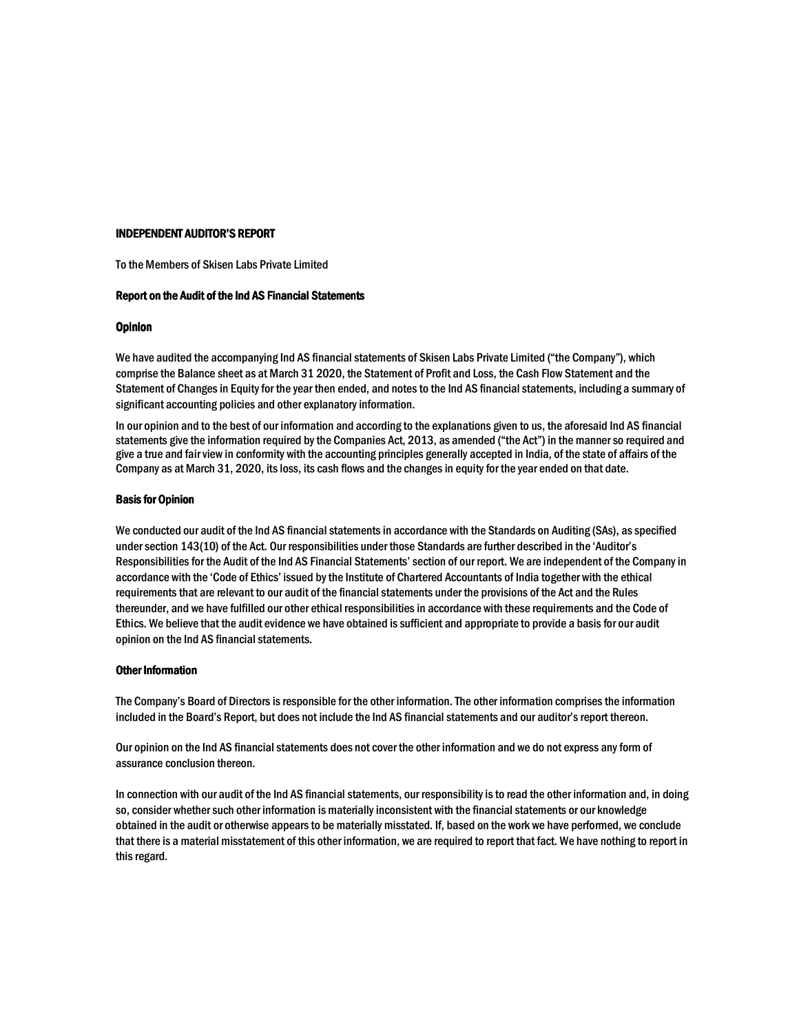# **INDEPENDENT AUDITOR'S REPORT**

To the Members of Skisen Labs Private Limited

# Report on the Audit of the Ind AS Financial Statements

# **Opinion**

We have audited the accompanying Ind AS financial statements of Skisen Labs Private Limited ("the Company"), which comprise the Balance sheet as at March 31 2020, the Statement of Profit and Loss, the Cash Flow Statement and the Statement of Changes in Equity for the year then ended, and notes to the Ind AS financial statements, including a summary of significant accounting policies and other explanatory information.

In our opinion and to the best of our information and according to the explanations given to us, the aforesaid Ind AS financial statements give the information required by the Companies Act, 2013, as amended ("the Act") in the manner so required and give a true and fair view in conformity with the accounting principles generally accepted in India, of the state of affairs of the Company as at March 31, 2020, its loss, its cash flows and the changes in equity for the year ended on that date.

# **Basis for Opinion**

We conducted our audit of the Ind AS financial statements in accordance with the Standards on Auditing (SAs), as specified under section 143(10) of the Act. Our responsibilities under those Standards are further described in the 'Auditor's Responsibilities for the Audit of the Ind AS Financial Statements' section of our report. We are independent of the Company in accordance with the 'Code of Ethics' issued by the Institute of Chartered Accountants of India together with the ethical requirements that are relevant to our audit of the financial statements under the provisions of the Act and the Rules thereunder, and we have fulfilled our other ethical responsibilities in accordance with these requirements and the Code of Ethics. We believe that the audit evidence we have obtained is sufficient and appropriate to provide a basis for our audit opinion on the Ind AS financial statements.

# **Other Information**

The Company's Board of Directors is responsible for the other information. The other information comprises the information included in the Board's Report, but does not include the Ind AS financial statements and our auditor's report thereon.

Our opinion on the Ind AS financial statements does not cover the other information and we do not express any form of assurance conclusion thereon.

In connection with our audit of the Ind AS financial statements, our responsibility is to read the other information and, in doing so, consider whether such other information is materially inconsistent with the financial statements or our knowledge obtained in the audit or otherwise appears to be materially misstated. If, based on the work we have performed, we conclude that there is a material misstatement of this other information, we are required to report that fact. We have nothing to report in this regard.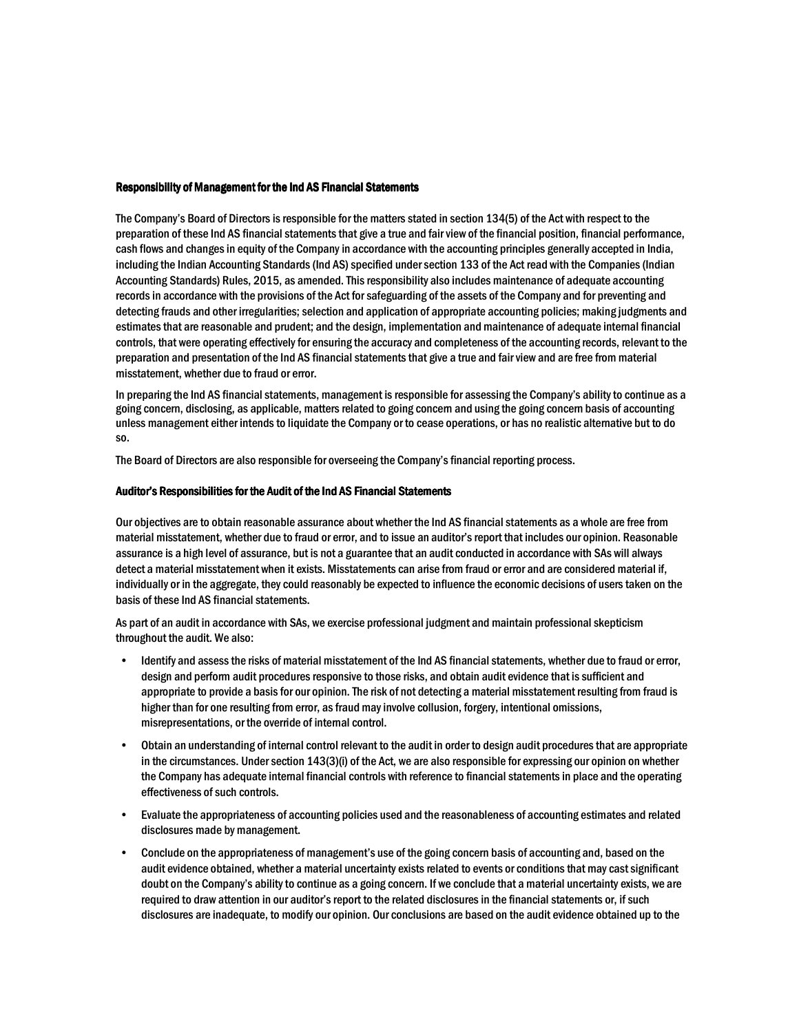# **Responsibility of Management for the Ind AS Financial Statements**

The Company's Board of Directors is responsible for the matters stated in section 134(5) of the Act with respect to the preparation of these Ind AS financial statements that give a true and fair view of the financial position, financial performance, cash flows and changes in equity of the Company in accordance with the accounting principles generally accepted in India, including the Indian Accounting Standards (Ind AS) specified under section 133 of the Act read with the Companies (Indian Accounting Standards) Rules, 2015, as amended. This responsibility also includes maintenance of adequate accounting records in accordance with the provisions of the Act for safeguarding of the assets of the Company and for preventing and detecting frauds and other irregularities; selection and application of appropriate accounting policies; making judgments and estimates that are reasonable and prudent; and the design, implementation and maintenance of adequate internal financial controls, that were operating effectively for ensuring the accuracy and completeness of the accounting records, relevant to the preparation and presentation of the Ind AS financial statements that give a true and fair view and are free from material misstatement, whether due to fraud or error.

In preparing the Ind AS financial statements, management is responsible for assessing the Company's ability to continue as a going concern, disclosing, as applicable, matters related to going concern and using the going concern basis of accounting unless management either intends to liquidate the Company or to cease operations, or has no realistic alternative but to do  $SO<sub>2</sub>$ 

The Board of Directors are also responsible for overseeing the Company's financial reporting process.

# Auditor's Responsibilities for the Audit of the Ind AS Financial Statements

Our objectives are to obtain reasonable assurance about whether the Ind AS financial statements as a whole are free from material misstatement, whether due to fraud or error, and to issue an auditor's report that includes our opinion. Reasonable assurance is a high level of assurance, but is not a guarantee that an audit conducted in accordance with SAs will always detect a material misstatement when it exists. Misstatements can arise from fraud or error and are considered material if, individually or in the aggregate, they could reasonably be expected to influence the economic decisions of users taken on the basis of these Ind AS financial statements.

As part of an audit in accordance with SAs, we exercise professional judgment and maintain professional skepticism throughout the audit. We also:

- Identify and assess the risks of material misstatement of the Ind AS financial statements, whether due to fraud or error, design and perform audit procedures responsive to those risks, and obtain audit evidence that is sufficient and appropriate to provide a basis for our opinion. The risk of not detecting a material misstatement resulting from fraud is higher than for one resulting from error, as fraud may involve collusion, forgery, intentional omissions, misrepresentations, or the override of internal control.
- Obtain an understanding of internal control relevant to the audit in order to design audit procedures that are appropriate in the circumstances. Under section 143(3)(i) of the Act, we are also responsible for expressing our opinion on whether the Company has adequate internal financial controls with reference to financial statements in place and the operating effectiveness of such controls.
- Evaluate the appropriateness of accounting policies used and the reasonableness of accounting estimates and related disclosures made by management.
- Conclude on the appropriateness of management's use of the going concern basis of accounting and, based on the audit evidence obtained, whether a material uncertainty exists related to events or conditions that may cast significant doubt on the Company's ability to continue as a going concern. If we conclude that a material uncertainty exists, we are required to draw attention in our auditor's report to the related disclosures in the financial statements or, if such disclosures are inadequate, to modify our opinion. Our conclusions are based on the audit evidence obtained up to the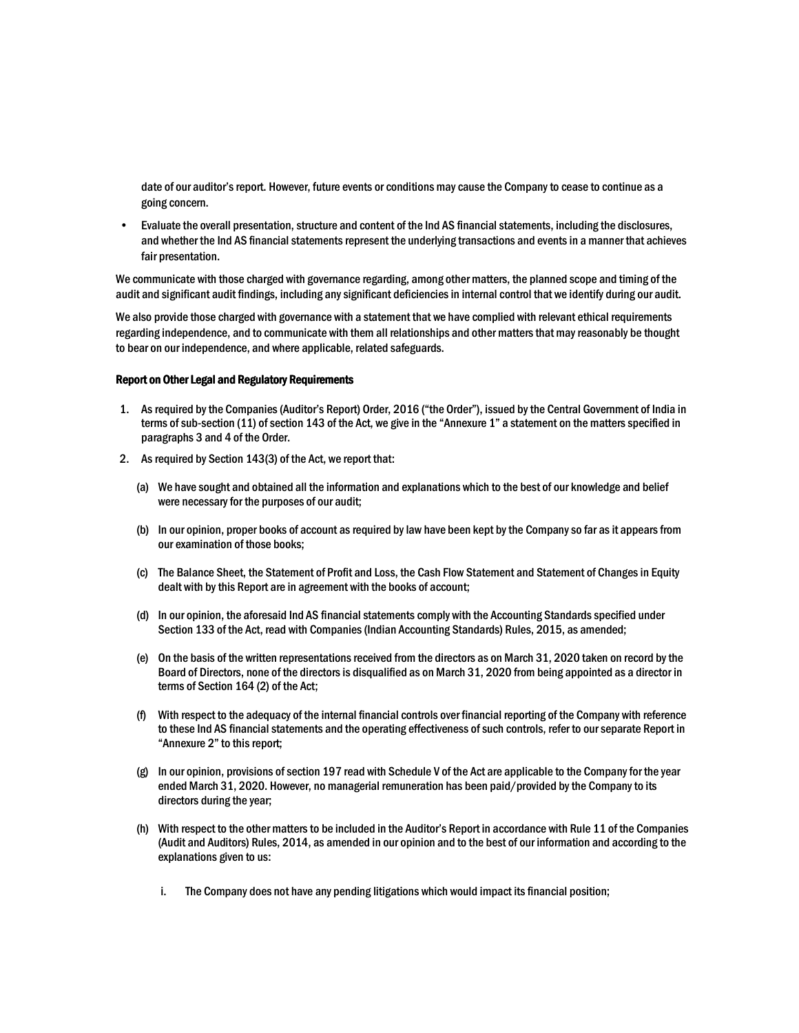date of our auditor's report. However, future events or conditions may cause the Company to cease to continue as a going concern.

 $\bullet$ Evaluate the overall presentation, structure and content of the Ind AS financial statements, including the disclosures, and whether the Ind AS financial statements represent the underlying transactions and events in a manner that achieves fair presentation.

We communicate with those charged with governance regarding, among other matters, the planned scope and timing of the audit and significant audit findings, including any significant deficiencies in internal control that we identify during our audit.

We also provide those charged with governance with a statement that we have complied with relevant ethical requirements regarding independence, and to communicate with them all relationships and other matters that may reasonably be thought to bear on our independence, and where applicable, related safeguards.

# **Report on Other Legal and Regulatory Requirements**

- 1. As required by the Companies (Auditor's Report) Order, 2016 ("the Order"), issued by the Central Government of India in terms of sub-section (11) of section 143 of the Act, we give in the "Annexure 1" a statement on the matters specified in paragraphs 3 and 4 of the Order.
- 2. As required by Section 143(3) of the Act, we report that:
	- (a) We have sought and obtained all the information and explanations which to the best of our knowledge and belief were necessary for the purposes of our audit;
	- (b) In our opinion, proper books of account as required by law have been kept by the Company so far as it appears from our examination of those books;
	- (c) The Balance Sheet, the Statement of Profit and Loss, the Cash Flow Statement and Statement of Changes in Equity dealt with by this Report are in agreement with the books of account;
	- (d) In our opinion, the aforesaid Ind AS financial statements comply with the Accounting Standards specified under Section 133 of the Act, read with Companies (Indian Accounting Standards) Rules, 2015, as amended;
	- (e) On the basis of the written representations received from the directors as on March 31, 2020 taken on record by the Board of Directors, none of the directors is disqualified as on March 31, 2020 from being appointed as a director in terms of Section 164 (2) of the Act;
	- (f) With respect to the adequacy of the internal financial controls over financial reporting of the Company with reference to these Ind AS financial statements and the operating effectiveness of such controls, refer to our separate Report in "Annexure 2" to this report;
	- (g) In our opinion, provisions of section 197 read with Schedule V of the Act are applicable to the Company for the year ended March 31, 2020. However, no managerial remuneration has been paid/provided by the Company to its directors during the year;
	- (h) With respect to the other matters to be included in the Auditor's Report in accordance with Rule 11 of the Companies (Audit and Auditors) Rules, 2014, as amended in our opinion and to the best of our information and according to the explanations given to us:
		- The Company does not have any pending litigations which would impact its financial position; i.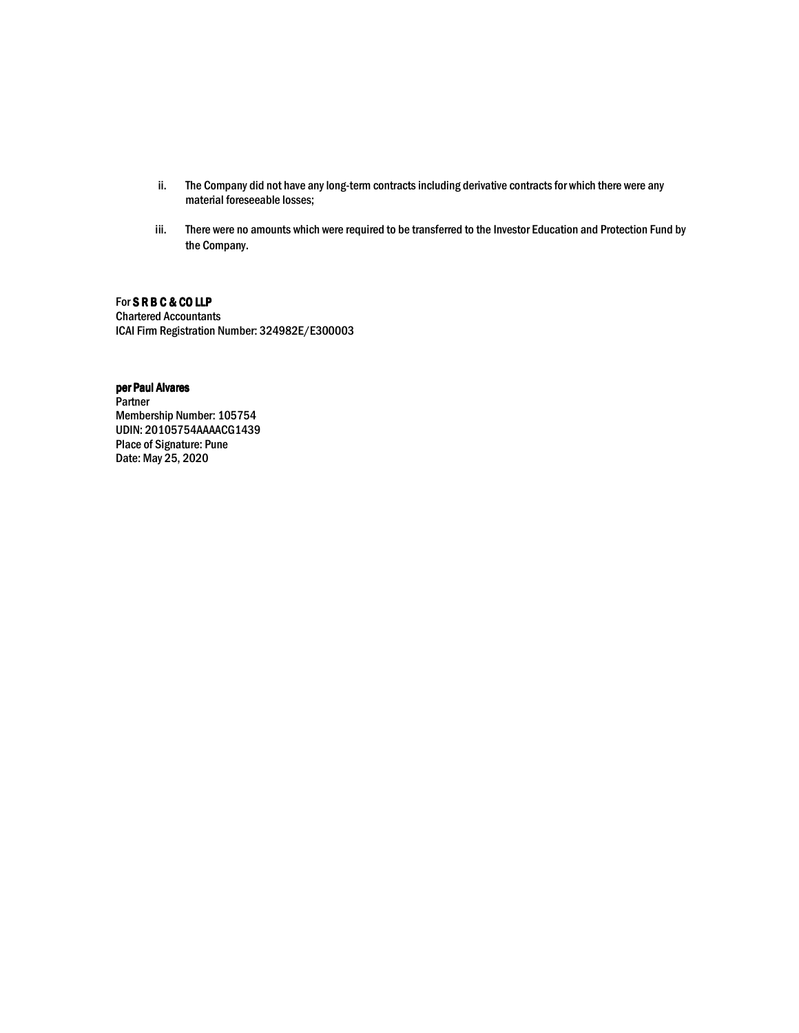- ii. The Company did not have any long-term contracts including derivative contracts for which there were any material foreseeable losses;
- iii. There were no amounts which were required to be transferred to the Investor Education and Protection Fund by the Company.

# For SRBC&COLLP

**Chartered Accountants** ICAI Firm Registration Number: 324982E/E300003

# per Paul Alvares

Partner Membership Number: 105754 UDIN: 20105754AAAACG1439 **Place of Signature: Pune** Date: May 25, 2020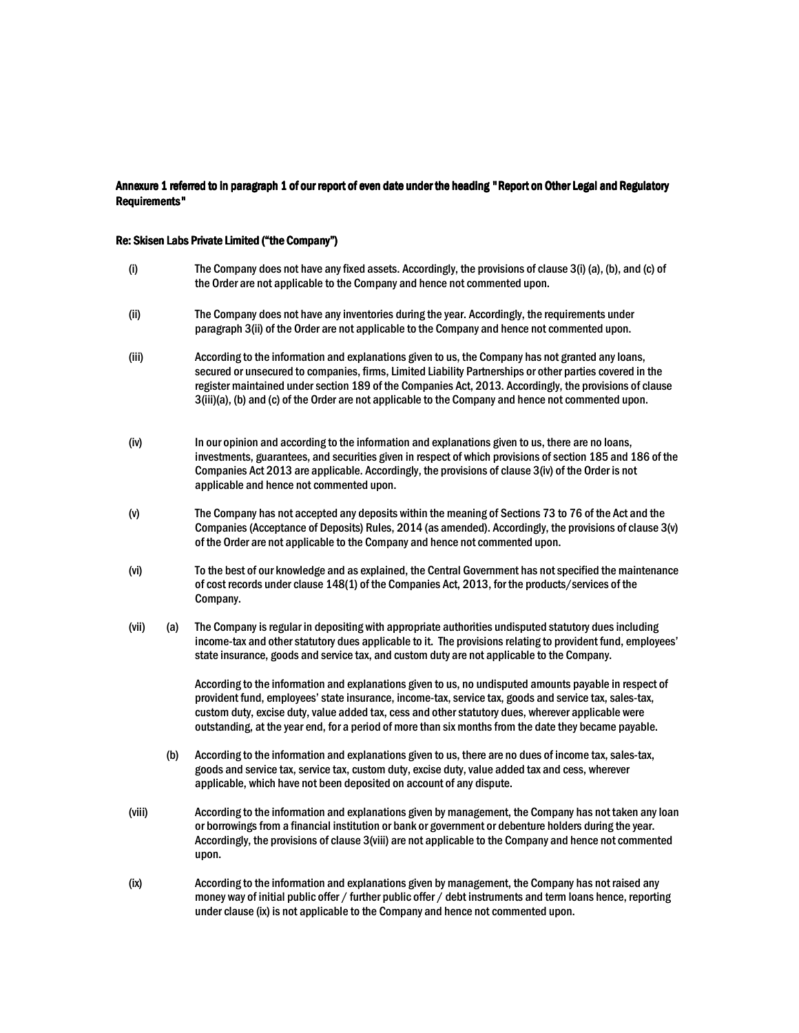# Annexure 1 referred to in paragraph 1 of our report of even date under the heading "Report on Other Legal and Regulatory **Requirements"**

# Re: Skisen Labs Private Limited ("the Company")

- The Company does not have any fixed assets. Accordingly, the provisions of clause 3(i) (a), (b), and (c) of  $(i)$ the Order are not applicable to the Company and hence not commented upon. The Company does not have any inventories during the year. Accordingly, the requirements under  $(i)$ paragraph 3(ii) of the Order are not applicable to the Company and hence not commented upon.  $(iii)$ According to the information and explanations given to us, the Company has not granted any loans,
- secured or unsecured to companies, firms, Limited Liability Partnerships or other parties covered in the register maintained under section 189 of the Companies Act, 2013. Accordingly, the provisions of clause 3(iii)(a), (b) and (c) of the Order are not applicable to the Company and hence not commented upon.
- In our opinion and according to the information and explanations given to us, there are no loans,  $(iv)$ investments, guarantees, and securities given in respect of which provisions of section 185 and 186 of the Companies Act 2013 are applicable. Accordingly, the provisions of clause 3(iv) of the Order is not applicable and hence not commented upon.
- $(v)$ The Company has not accepted any deposits within the meaning of Sections 73 to 76 of the Act and the Companies (Acceptance of Deposits) Rules, 2014 (as amended), Accordingly, the provisions of clause 3(y) of the Order are not applicable to the Company and hence not commented upon.
- $(vi)$ To the best of our knowledge and as explained, the Central Government has not specified the maintenance of cost records under clause 148(1) of the Companies Act, 2013, for the products/services of the Company.
- (vii) The Company is regular in depositing with appropriate authorities undisputed statutory dues including  $(a)$ income-tax and other statutory dues applicable to it. The provisions relating to provident fund, employees' state insurance, goods and service tax, and custom duty are not applicable to the Company.

According to the information and explanations given to us, no undisputed amounts payable in respect of provident fund, employees' state insurance, income-tax, service tax, goods and service tax, sales-tax, custom duty, excise duty, value added tax, cess and other statutory dues, wherever applicable were outstanding, at the year end, for a period of more than six months from the date they became payable.

- According to the information and explanations given to us, there are no dues of income tax, sales-tax,  $(b)$ goods and service tax, service tax, custom duty, excise duty, value added tax and cess, wherever applicable, which have not been deposited on account of any dispute.
- (viii) According to the information and explanations given by management, the Company has not taken any loan or borrowings from a financial institution or bank or government or debenture holders during the year. Accordingly, the provisions of clause 3(viii) are not applicable to the Company and hence not commented upon.
- $(ix)$ According to the information and explanations given by management, the Company has not raised any money way of initial public offer / further public offer / debt instruments and term loans hence, reporting under clause (ix) is not applicable to the Company and hence not commented upon.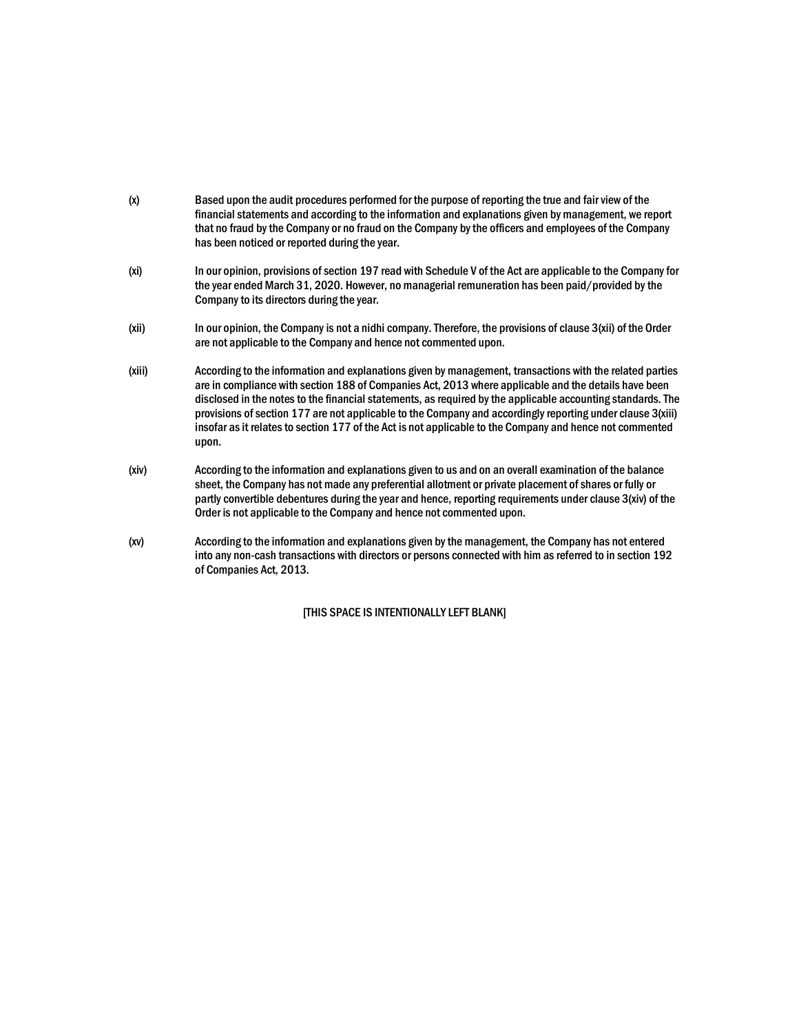- $(x)$ Based upon the audit procedures performed for the purpose of reporting the true and fair view of the financial statements and according to the information and explanations given by management, we report that no fraud by the Company or no fraud on the Company by the officers and employees of the Company has been noticed or reported during the year.
- In our opinion, provisions of section 197 read with Schedule V of the Act are applicable to the Company for  $(x<sub>i</sub>)$ the year ended March 31, 2020. However, no managerial remuneration has been paid/provided by the Company to its directors during the year.
- In our opinion, the Company is not a nidhi company. Therefore, the provisions of clause 3(xii) of the Order (xii) are not applicable to the Company and hence not commented upon.
- According to the information and explanations given by management, transactions with the related parties  $(xiii)$ are in compliance with section 188 of Companies Act, 2013 where applicable and the details have been disclosed in the notes to the financial statements, as required by the applicable accounting standards. The provisions of section 177 are not applicable to the Company and accordingly reporting under clause 3(xiii) insofar as it relates to section 177 of the Act is not applicable to the Company and hence not commented upon.
- According to the information and explanations given to us and on an overall examination of the balance  $(xiv)$ sheet, the Company has not made any preferential allotment or private placement of shares or fully or partly convertible debentures during the year and hence, reporting requirements under clause 3(xiv) of the Order is not applicable to the Company and hence not commented upon.
- $(xv)$ According to the information and explanations given by the management, the Company has not entered into any non-cash transactions with directors or persons connected with him as referred to in section 192 of Companies Act, 2013.

**ITHIS SPACE IS INTENTIONALLY LEFT BLANK]**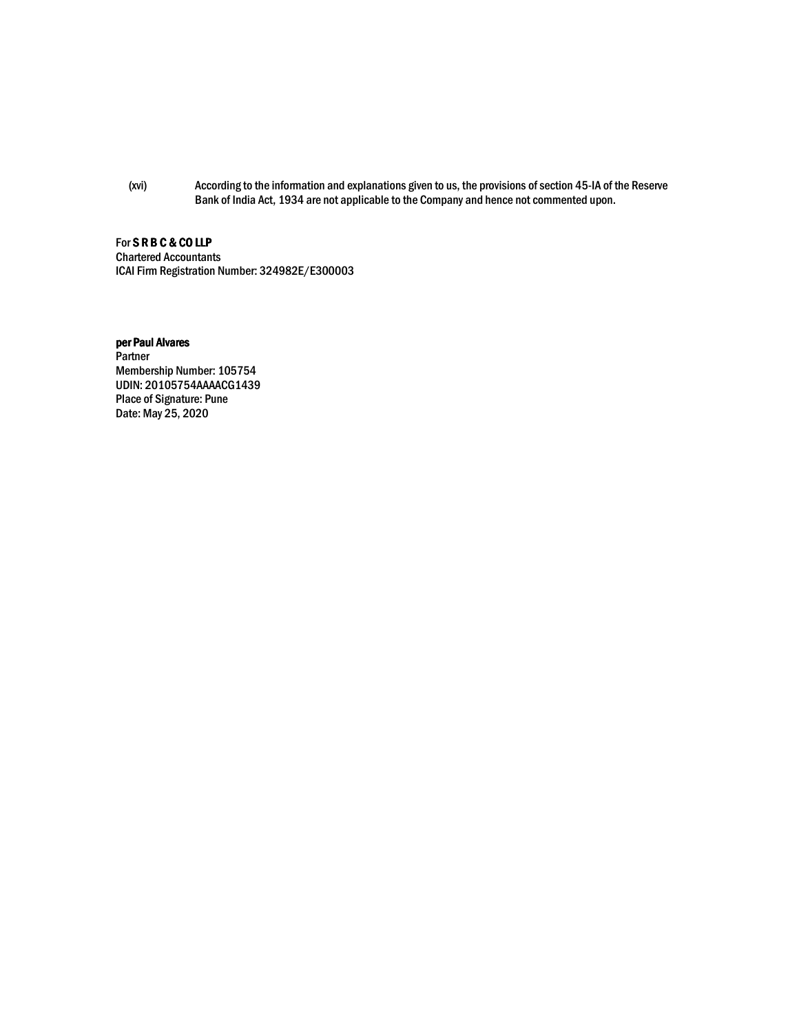(xvi) According to the information and explanations given to us, the provisions of section 45-IA of the Reserve Bank of India Act, 1934 are not applicable to the Company and hence not commented upon.

# For SRBC&COLLP

**Chartered Accountants** ICAI Firm Registration Number: 324982E/E300003

# per Paul Alvares Partner Membership Number: 105754 UDIN: 20105754AAAACG1439 Place of Signature: Pune Date: May 25, 2020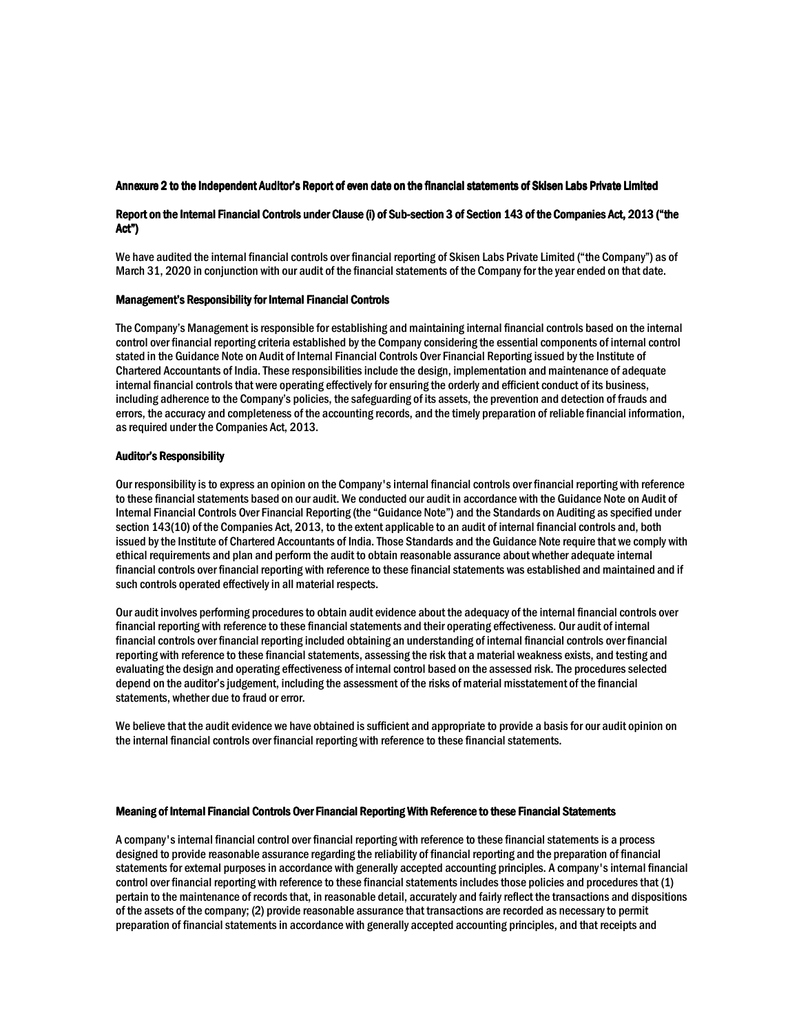# Annexure 2 to the Independent Auditor's Report of even date on the financial statements of Skisen Labs Private Limited

# Report on the Internal Financial Controls under Clause (i) of Sub-section 3 of Section 143 of the Companies Act, 2013 ("the Act")

We have audited the internal financial controls over financial reporting of Skisen Labs Private Limited ("the Company") as of March 31, 2020 in conjunction with our audit of the financial statements of the Company for the year ended on that date.

# **Management's Responsibility for Internal Financial Controls**

The Company's Management is responsible for establishing and maintaining internal financial controls based on the internal control over financial reporting criteria established by the Company considering the essential components of internal control stated in the Guidance Note on Audit of Internal Financial Controls Over Financial Reporting issued by the Institute of Chartered Accountants of India. These responsibilities include the design, implementation and maintenance of adequate internal financial controls that were operating effectively for ensuring the orderly and efficient conduct of its business. including adherence to the Company's policies, the safeguarding of its assets, the prevention and detection of frauds and errors, the accuracy and completeness of the accounting records, and the timely preparation of reliable financial information. as required under the Companies Act. 2013.

# **Auditor's Responsibility**

Our responsibility is to express an opinion on the Company's internal financial controls over financial reporting with reference to these financial statements based on our audit. We conducted our audit in accordance with the Guidance Note on Audit of Internal Financial Controls Over Financial Reporting (the "Guidance Note") and the Standards on Auditing as specified under section 143(10) of the Companies Act, 2013, to the extent applicable to an audit of internal financial controls and, both issued by the Institute of Chartered Accountants of India. Those Standards and the Guidance Note require that we comply with ethical requirements and plan and perform the audit to obtain reasonable assurance about whether adequate internal financial controls over financial reporting with reference to these financial statements was established and maintained and if such controls operated effectively in all material respects.

Our audit involves performing procedures to obtain audit evidence about the adequacy of the internal financial controls over financial reporting with reference to these financial statements and their operating effectiveness. Our audit of internal financial controls over financial reporting included obtaining an understanding of internal financial controls over financial reporting with reference to these financial statements, assessing the risk that a material weakness exists, and testing and evaluating the design and operating effectiveness of internal control based on the assessed risk. The procedures selected depend on the auditor's judgement, including the assessment of the risks of material misstatement of the financial statements, whether due to fraud or error.

We believe that the audit evidence we have obtained is sufficient and appropriate to provide a basis for our audit opinion on the internal financial controls over financial reporting with reference to these financial statements.

# Meaning of Internal Financial Controls Over Financial Reporting With Reference to these Financial Statements

A company's internal financial control over financial reporting with reference to these financial statements is a process designed to provide reasonable assurance regarding the reliability of financial reporting and the preparation of financial statements for external purposes in accordance with generally accepted accounting principles. A company's internal financial control over financial reporting with reference to these financial statements includes those policies and procedures that (1) pertain to the maintenance of records that, in reasonable detail, accurately and fairly reflect the transactions and dispositions of the assets of the company; (2) provide reasonable assurance that transactions are recorded as necessary to permit preparation of financial statements in accordance with generally accepted accounting principles, and that receipts and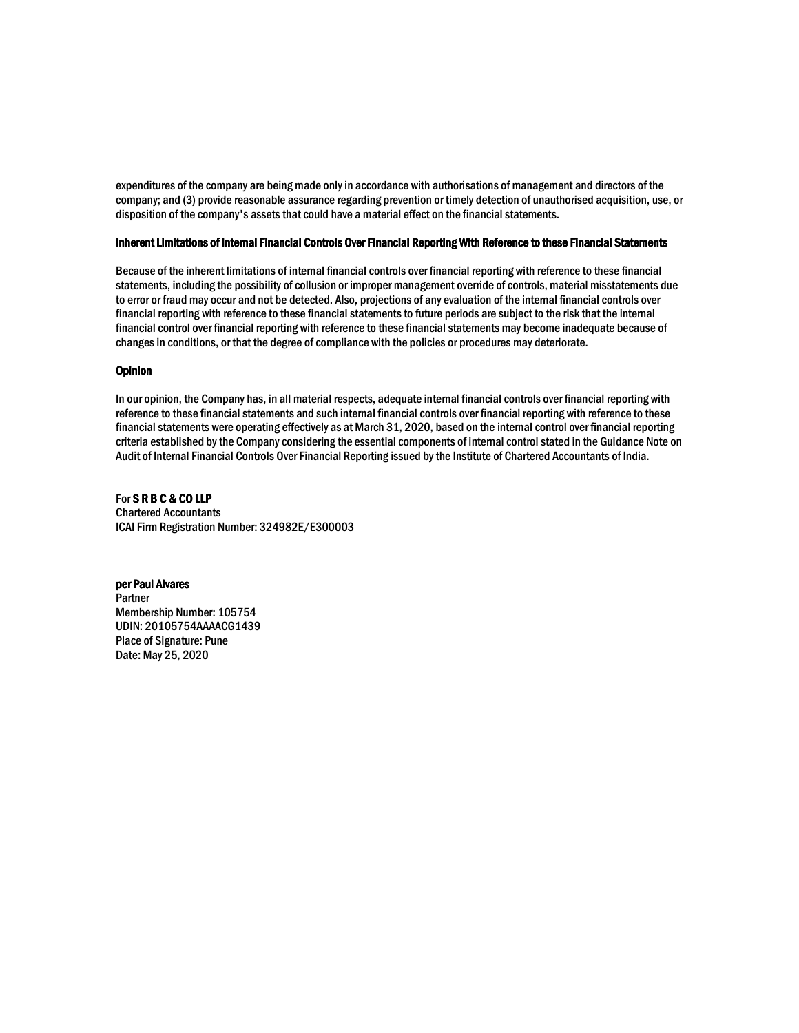expenditures of the company are being made only in accordance with authorisations of management and directors of the company; and (3) provide reasonable assurance regarding prevention or timely detection of unauthorised acquisition, use, or disposition of the company's assets that could have a material effect on the financial statements.

# Inherent Limitations of Internal Financial Controls Over Financial Reporting With Reference to these Financial Statements

Because of the inherent limitations of internal financial controls over financial reporting with reference to these financial statements, including the possibility of collusion or improper management override of controls, material misstatements due to error or fraud may occur and not be detected. Also, projections of any evaluation of the internal financial controls over financial reporting with reference to these financial statements to future periods are subject to the risk that the internal financial control over financial reporting with reference to these financial statements may become inadequate because of changes in conditions, or that the degree of compliance with the policies or procedures may deteriorate.

# **Opinion**

In our opinion, the Company has, in all material respects, adequate internal financial controls over financial reporting with reference to these financial statements and such internal financial controls over financial reporting with reference to these financial statements were operating effectively as at March 31, 2020, based on the internal control over financial reporting criteria established by the Company considering the essential components of internal control stated in the Guidance Note on Audit of Internal Financial Controls Over Financial Reporting issued by the Institute of Chartered Accountants of India.

For SRBC&COLLP **Chartered Accountants** ICAI Firm Registration Number: 324982E/E300003

# per Paul Alvares

Partner Membership Number: 105754 UDIN: 20105754AAAACG1439 **Place of Signature: Pune** Date: May 25, 2020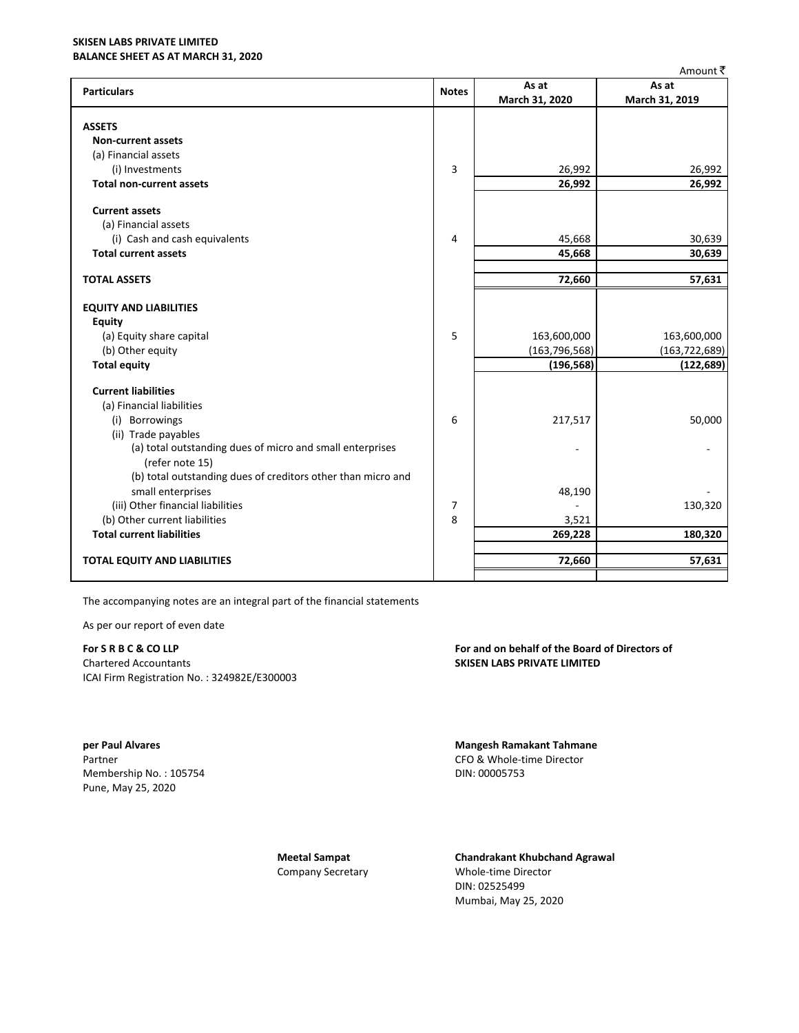# **SKISEN LABS PRIVATE LIMITED BALANCE SHEET AS AT MARCH 31, 2020**

|                                                              |              |                 | Amount ₹        |
|--------------------------------------------------------------|--------------|-----------------|-----------------|
| <b>Particulars</b>                                           | <b>Notes</b> | As at           | As at           |
|                                                              |              | March 31, 2020  | March 31, 2019  |
|                                                              |              |                 |                 |
| <b>ASSETS</b>                                                |              |                 |                 |
| <b>Non-current assets</b>                                    |              |                 |                 |
| (a) Financial assets                                         |              |                 |                 |
| (i) Investments                                              | 3            | 26,992          | 26,992          |
| <b>Total non-current assets</b>                              |              | 26,992          | 26,992          |
| <b>Current assets</b>                                        |              |                 |                 |
| (a) Financial assets                                         |              |                 |                 |
| (i) Cash and cash equivalents                                | 4            | 45,668          | 30,639          |
| <b>Total current assets</b>                                  |              | 45,668          | 30,639          |
|                                                              |              |                 |                 |
| <b>TOTAL ASSETS</b>                                          |              | 72,660          | 57,631          |
| <b>EQUITY AND LIABILITIES</b>                                |              |                 |                 |
| <b>Equity</b>                                                |              |                 |                 |
| (a) Equity share capital                                     | 5            | 163,600,000     | 163,600,000     |
| (b) Other equity                                             |              | (163, 796, 568) | (163, 722, 689) |
| <b>Total equity</b>                                          |              | (196, 568)      | (122, 689)      |
|                                                              |              |                 |                 |
| <b>Current liabilities</b>                                   |              |                 |                 |
| (a) Financial liabilities                                    |              |                 |                 |
| (i) Borrowings                                               | 6            | 217,517         | 50,000          |
| (ii) Trade payables                                          |              |                 |                 |
| (a) total outstanding dues of micro and small enterprises    |              |                 |                 |
| (refer note 15)                                              |              |                 |                 |
| (b) total outstanding dues of creditors other than micro and |              |                 |                 |
| small enterprises                                            |              | 48,190          |                 |
| (iii) Other financial liabilities                            | 7            |                 | 130,320         |
| (b) Other current liabilities                                | 8            | 3,521           |                 |
| <b>Total current liabilities</b>                             |              | 269,228         | 180,320         |
|                                                              |              |                 |                 |
| <b>TOTAL EQUITY AND LIABILITIES</b>                          |              | 72,660          | 57,631          |
|                                                              |              |                 |                 |

The accompanying notes are an integral part of the financial statements

As per our report of even date

# For S R B C & CO LLP

**Chartered Accountants** ICAI Firm Registration No.: 324982E/E300003

per Paul Alvares Partner Membership No.: 105754 Pune, May 25, 2020

> **Meetal Sampat** Company Secretary

For and on behalf of the Board of Directors of **SKISEN LABS PRIVATE LIMITED** 

**Mangesh Ramakant Tahmane** CFO & Whole-time Director DIN: 00005753

**Chandrakant Khubchand Agrawal** Whole-time Director DIN: 02525499 Mumbai, May 25, 2020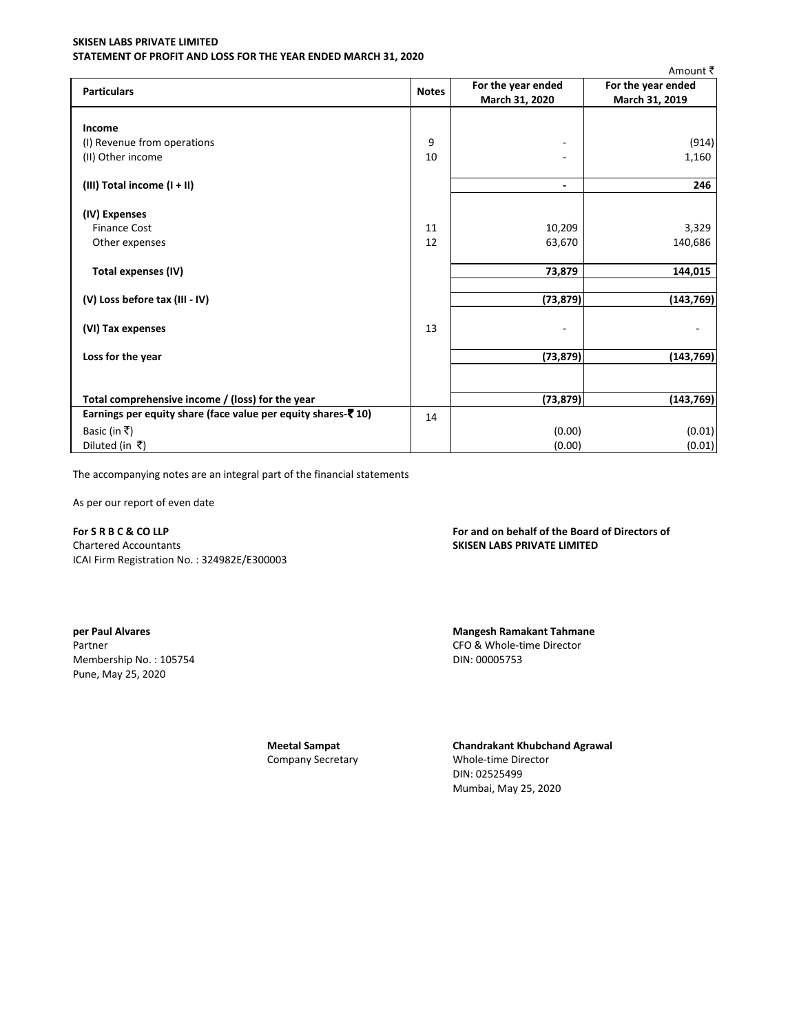# **SKISEN LABS PRIVATE LIMITED** STATEMENT OF PROFIT AND LOSS FOR THE YEAR ENDED MARCH 31, 2020

|                                                                        |              |                    | Amount ₹           |
|------------------------------------------------------------------------|--------------|--------------------|--------------------|
| <b>Particulars</b>                                                     | <b>Notes</b> | For the year ended | For the year ended |
|                                                                        |              | March 31, 2020     | March 31, 2019     |
|                                                                        |              |                    |                    |
| Income                                                                 |              |                    |                    |
| (I) Revenue from operations                                            | 9            | ٠                  | (914)              |
| (II) Other income                                                      | 10           |                    | 1,160              |
| (III) Total income (I + II)                                            |              | ٠                  | 246                |
| (IV) Expenses                                                          |              |                    |                    |
| <b>Finance Cost</b>                                                    | 11           | 10,209             | 3,329              |
| Other expenses                                                         | 12           | 63,670             | 140,686            |
| Total expenses (IV)                                                    |              | 73,879             | 144,015            |
| (V) Loss before tax (III - IV)                                         |              | (73, 879)          | (143, 769)         |
| (VI) Tax expenses                                                      | 13           |                    |                    |
| Loss for the year                                                      |              | (73, 879)          | (143, 769)         |
|                                                                        |              |                    |                    |
| Total comprehensive income / (loss) for the year                       |              | (73, 879)          | (143, 769)         |
| Earnings per equity share (face value per equity shares- $\bar{z}$ 10) | 14           |                    |                    |
| Basic (in ₹)                                                           |              | (0.00)             | (0.01)             |
| Diluted (in ₹)                                                         |              | (0.00)             | (0.01)             |

The accompanying notes are an integral part of the financial statements

As per our report of even date

# For S R B C & CO LLP

Chartered Accountants ICAI Firm Registration No.: 324982E/E300003

per Paul Alvares Partner Membership No.: 105754 Pune, May 25, 2020

# For and on behalf of the Board of Directors of SKISEN LABS PRIVATE LIMITED

**Mangesh Ramakant Tahmane** CFO & Whole-time Director DIN: 00005753

**Meetal Sampat** Company Secretary **Chandrakant Khubchand Agrawal** Whole-time Director DIN: 02525499 Mumbai, May 25, 2020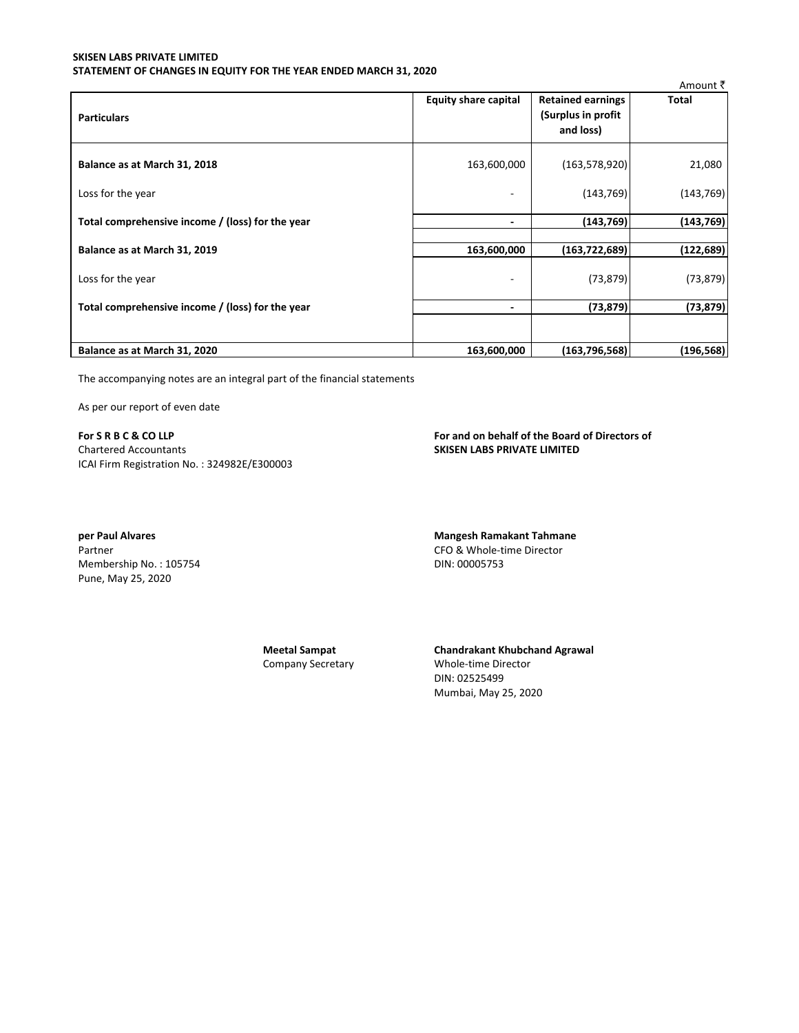# SKISEN LABS PRIVATE LIMITED STATEMENT OF CHANGES IN EQUITY FOR THE YEAR ENDED MARCH 31, 2020

|                                                  |                             |                                                              | Amount ₹   |
|--------------------------------------------------|-----------------------------|--------------------------------------------------------------|------------|
| <b>Particulars</b>                               | <b>Equity share capital</b> | <b>Retained earnings</b><br>(Surplus in profit)<br>and loss) | Total      |
|                                                  |                             |                                                              |            |
| Balance as at March 31, 2018                     | 163,600,000                 | (163, 578, 920)                                              | 21,080     |
| Loss for the year                                |                             | (143, 769)                                                   | (143, 769) |
| Total comprehensive income / (loss) for the year | ٠                           | (143, 769)                                                   | (143, 769) |
| Balance as at March 31, 2019                     | 163,600,000                 | (163, 722, 689)                                              | (122, 689) |
| Loss for the year                                | ۰                           | (73, 879)                                                    | (73, 879)  |
| Total comprehensive income / (loss) for the year | ٠                           | (73, 879)                                                    | (73, 879)  |
|                                                  |                             |                                                              |            |
| Balance as at March 31, 2020                     | 163,600,000                 | (163, 796, 568)                                              | (196, 568) |

The accompanying notes are an integral part of the financial statements

As per our report of even date

For SRBC&COLLP **Chartered Accountants** ICAI Firm Registration No.: 324982E/E300003 For and on behalf of the Board of Directors of **SKISEN LABS PRIVATE LIMITED** 

per Paul Alvares Partner Membership No.: 105754 Pune, May 25, 2020

DIN: 00005753

**Meetal Sampat** Company Secretary **Chandrakant Khubchand Agrawal** Whole-time Director DIN: 02525499 Mumbai, May 25, 2020

**Mangesh Ramakant Tahmane** CFO & Whole-time Director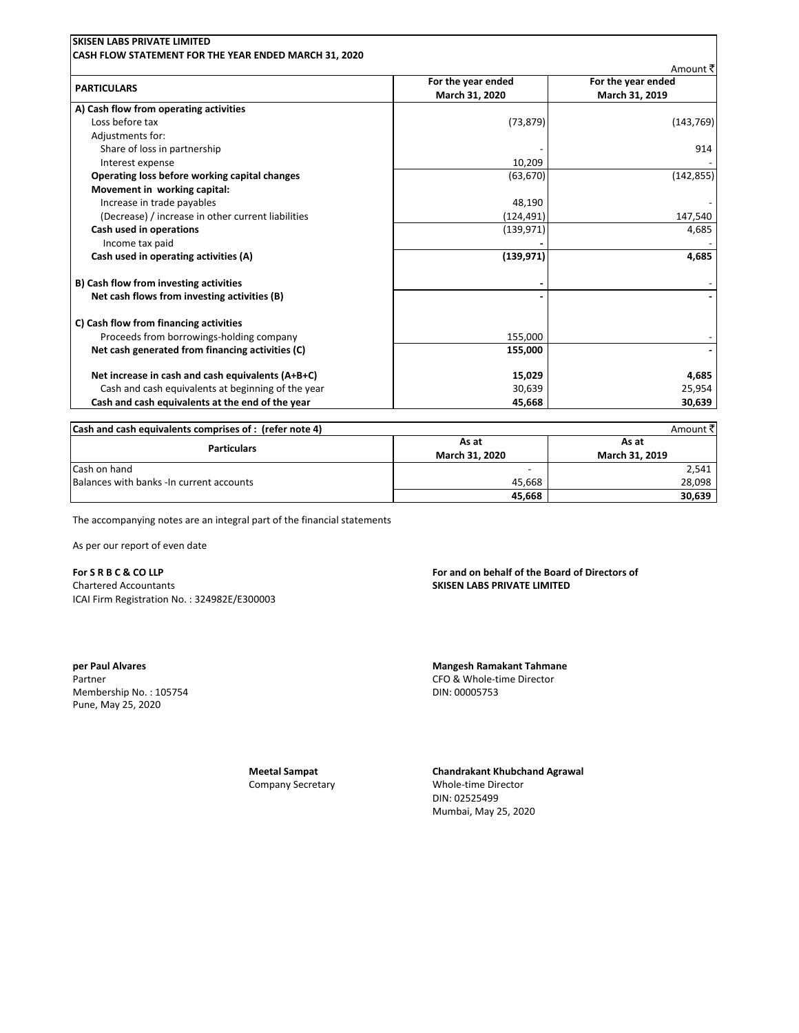|                                                    | For the year ended | Amount ₹<br>For the year ended |
|----------------------------------------------------|--------------------|--------------------------------|
| <b>PARTICULARS</b>                                 | March 31, 2020     | March 31, 2019                 |
| A) Cash flow from operating activities             |                    |                                |
| Loss before tax                                    | (73, 879)          | (143, 769)                     |
| Adjustments for:                                   |                    |                                |
| Share of loss in partnership                       |                    | 914                            |
| Interest expense                                   | 10,209             |                                |
| Operating loss before working capital changes      | (63, 670)          | (142, 855)                     |
| Movement in working capital:                       |                    |                                |
| Increase in trade payables                         | 48,190             |                                |
| (Decrease) / increase in other current liabilities | (124,491)          | 147,540                        |
| Cash used in operations                            | (139, 971)         | 4,685                          |
| Income tax paid                                    |                    |                                |
| Cash used in operating activities (A)              | (139, 971)         | 4,685                          |
| B) Cash flow from investing activities             |                    |                                |
| Net cash flows from investing activities (B)       |                    |                                |
| C) Cash flow from financing activities             |                    |                                |
| Proceeds from borrowings-holding company           | 155,000            |                                |
| Net cash generated from financing activities (C)   | 155,000            |                                |
| Net increase in cash and cash equivalents (A+B+C)  | 15,029             | 4,685                          |
| Cash and cash equivalents at beginning of the year | 30,639             | 25,954                         |
| Cash and cash equivalents at the end of the year   | 45,668             | 30,639                         |

| Cash and cash equivalents comprises of : (refer note 4) |        | Amount ₹       |
|---------------------------------------------------------|--------|----------------|
| <b>Particulars</b>                                      | As at  | As at          |
| <b>March 31, 2020</b>                                   |        | March 31, 2019 |
| Cash on hand                                            |        | 2,541          |
| Balances with banks - In current accounts               | 45.668 | 28.098         |
|                                                         | 45,668 | 30,639         |

The accompanying notes are an integral part of the financial statements

As per our report of even date

For SRBC&COLLP **Chartered Accountants** ICAI Firm Registration No.: 324982E/E300003

per Paul Alvares Partner Membership No.: 105754 Pune, May 25, 2020

For and on behalf of the Board of Directors of **SKISEN LABS PRIVATE LIMITED** 

**Mangesh Ramakant Tahmane** CFO & Whole-time Director DIN: 00005753

**Meetal Sampat Company Secretary**  **Chandrakant Khubchand Agrawal** Whole-time Director

DIN: 02525499 Mumbai, May 25, 2020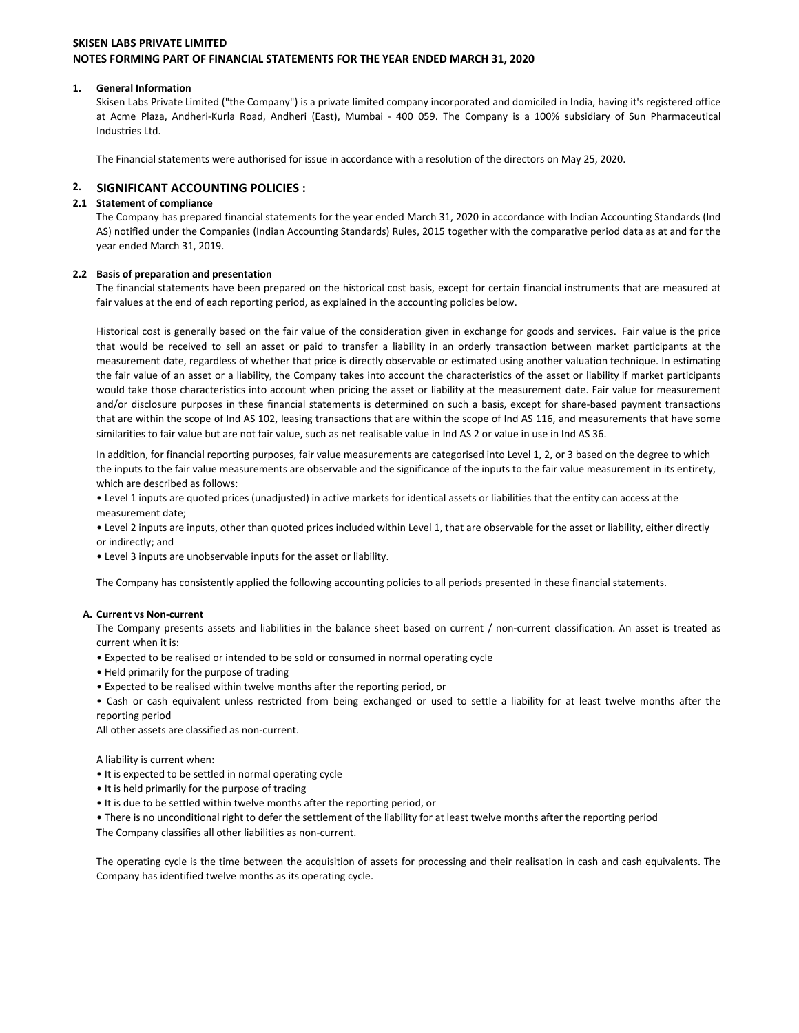# 1. General Information

Skisen Labs Private Limited ("the Company") is a private limited company incorporated and domiciled in India, having it's registered office at Acme Plaza, Andheri-Kurla Road, Andheri (East), Mumbai - 400 059. The Company is a 100% subsidiary of Sun Pharmaceutical Industries Ltd.

The Financial statements were authorised for issue in accordance with a resolution of the directors on May 25, 2020.

#### $2.$ **SIGNIFICANT ACCOUNTING POLICIES :**

### 2.1 Statement of compliance

The Company has prepared financial statements for the year ended March 31, 2020 in accordance with Indian Accounting Standards (Ind AS) notified under the Companies (Indian Accounting Standards) Rules, 2015 together with the comparative period data as at and for the year ended March 31, 2019.

# 2.2 Basis of preparation and presentation

The financial statements have been prepared on the historical cost basis, except for certain financial instruments that are measured at fair values at the end of each reporting period, as explained in the accounting policies below.

Historical cost is generally based on the fair value of the consideration given in exchange for goods and services. Fair value is the price that would be received to sell an asset or paid to transfer a liability in an orderly transaction between market participants at the measurement date, regardless of whether that price is directly observable or estimated using another valuation technique. In estimating the fair value of an asset or a liability, the Company takes into account the characteristics of the asset or liability if market participants would take those characteristics into account when pricing the asset or liability at the measurement date. Fair value for measurement and/or disclosure purposes in these financial statements is determined on such a basis, except for share-based payment transactions that are within the scope of Ind AS 102, leasing transactions that are within the scope of Ind AS 116, and measurements that have some similarities to fair value but are not fair value, such as net realisable value in Ind AS 2 or value in use in Ind AS 36.

In addition, for financial reporting purposes, fair value measurements are categorised into Level 1, 2, or 3 based on the degree to which the inputs to the fair value measurements are observable and the significance of the inputs to the fair value measurement in its entirety, which are described as follows:

. Level 1 inputs are quoted prices (unadjusted) in active markets for identical assets or liabilities that the entity can access at the measurement date;

. Level 2 inputs are inputs, other than quoted prices included within Level 1, that are observable for the asset or liability, either directly or indirectly; and

• Level 3 inputs are unobservable inputs for the asset or liability.

The Company has consistently applied the following accounting policies to all periods presented in these financial statements.

# A. Current vs Non-current

The Company presents assets and liabilities in the balance sheet based on current / non-current classification. An asset is treated as current when it is:

- Expected to be realised or intended to be sold or consumed in normal operating cycle
- Held primarily for the purpose of trading
- Expected to be realised within twelve months after the reporting period, or

. Cash or cash equivalent unless restricted from being exchanged or used to settle a liability for at least twelve months after the reporting period

All other assets are classified as non-current.

A liability is current when:

- It is expected to be settled in normal operating cycle
- It is held primarily for the purpose of trading
- It is due to be settled within twelve months after the reporting period, or

• There is no unconditional right to defer the settlement of the liability for at least twelve months after the reporting period The Company classifies all other liabilities as non-current.

The operating cycle is the time between the acquisition of assets for processing and their realisation in cash and cash equivalents. The Company has identified twelve months as its operating cycle.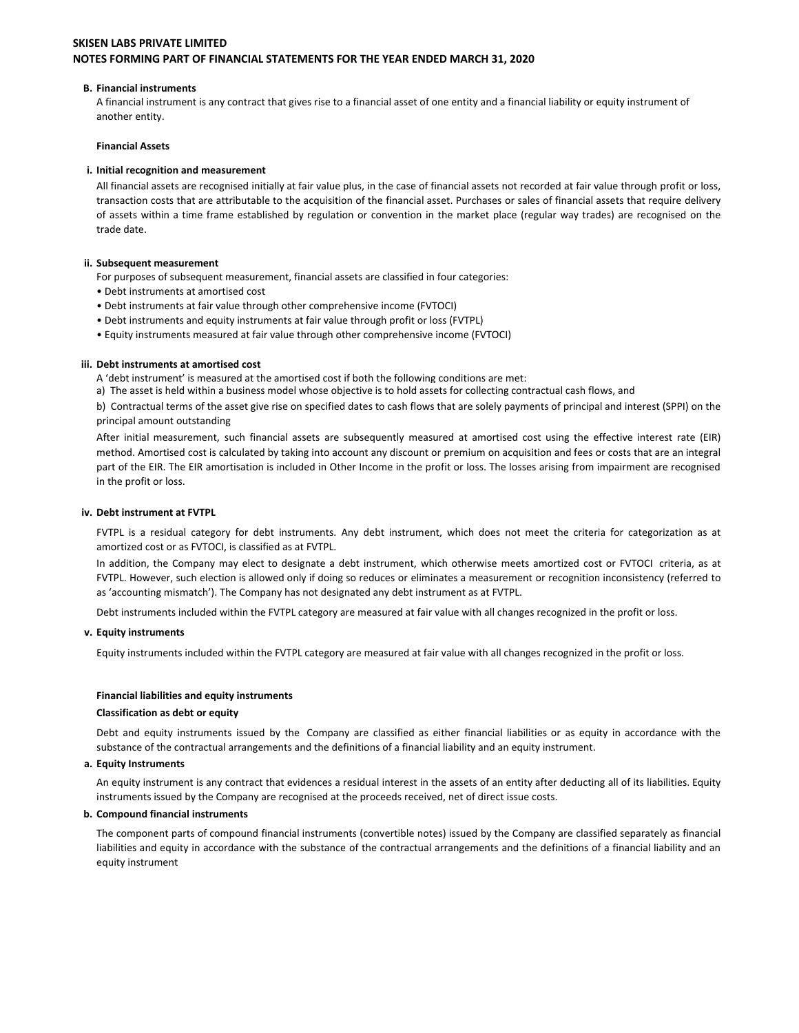### **B. Financial instruments**

A financial instrument is any contract that gives rise to a financial asset of one entity and a financial liability or equity instrument of another entity.

### **Financial Assets**

### i. Initial recognition and measurement

All financial assets are recognised initially at fair value plus, in the case of financial assets not recorded at fair value through profit or loss, transaction costs that are attributable to the acquisition of the financial asset. Purchases or sales of financial assets that require delivery of assets within a time frame established by regulation or convention in the market place (regular way trades) are recognised on the trade date.

### ii. Subsequent measurement

For purposes of subsequent measurement, financial assets are classified in four categories:

- Debt instruments at amortised cost
- Debt instruments at fair value through other comprehensive income (FVTOCI)
- . Debt instruments and equity instruments at fair value through profit or loss (FVTPL)
- Equity instruments measured at fair value through other comprehensive income (FVTOCI)

### iii. Debt instruments at amortised cost

- A 'debt instrument' is measured at the amortised cost if both the following conditions are met:
- a) The asset is held within a business model whose objective is to hold assets for collecting contractual cash flows, and

b) Contractual terms of the asset give rise on specified dates to cash flows that are solely payments of principal and interest (SPPI) on the principal amount outstanding

After initial measurement, such financial assets are subsequently measured at amortised cost using the effective interest rate (EIR) method. Amortised cost is calculated by taking into account any discount or premium on acquisition and fees or costs that are an integral part of the EIR. The EIR amortisation is included in Other Income in the profit or loss. The losses arising from impairment are recognised in the profit or loss.

### iv. Debt instrument at FVTPL

FVTPL is a residual category for debt instruments. Any debt instrument, which does not meet the criteria for categorization as at amortized cost or as FVTOCI, is classified as at FVTPL.

In addition, the Company may elect to designate a debt instrument, which otherwise meets amortized cost or FVTOCI criteria, as at FVTPL. However, such election is allowed only if doing so reduces or eliminates a measurement or recognition inconsistency (referred to as 'accounting mismatch'). The Company has not designated any debt instrument as at FVTPL.

Debt instruments included within the FVTPL category are measured at fair value with all changes recognized in the profit or loss.

#### v. Equity instruments

Equity instruments included within the FVTPL category are measured at fair value with all changes recognized in the profit or loss.

# **Financial liabilities and equity instruments**

#### **Classification as debt or equity**

Debt and equity instruments issued by the Company are classified as either financial liabilities or as equity in accordance with the substance of the contractual arrangements and the definitions of a financial liability and an equity instrument.

#### a. Equity Instruments

An equity instrument is any contract that evidences a residual interest in the assets of an entity after deducting all of its liabilities. Equity instruments issued by the Company are recognised at the proceeds received, net of direct issue costs.

# b. Compound financial instruments

The component parts of compound financial instruments (convertible notes) issued by the Company are classified separately as financial liabilities and equity in accordance with the substance of the contractual arrangements and the definitions of a financial liability and an equity instrument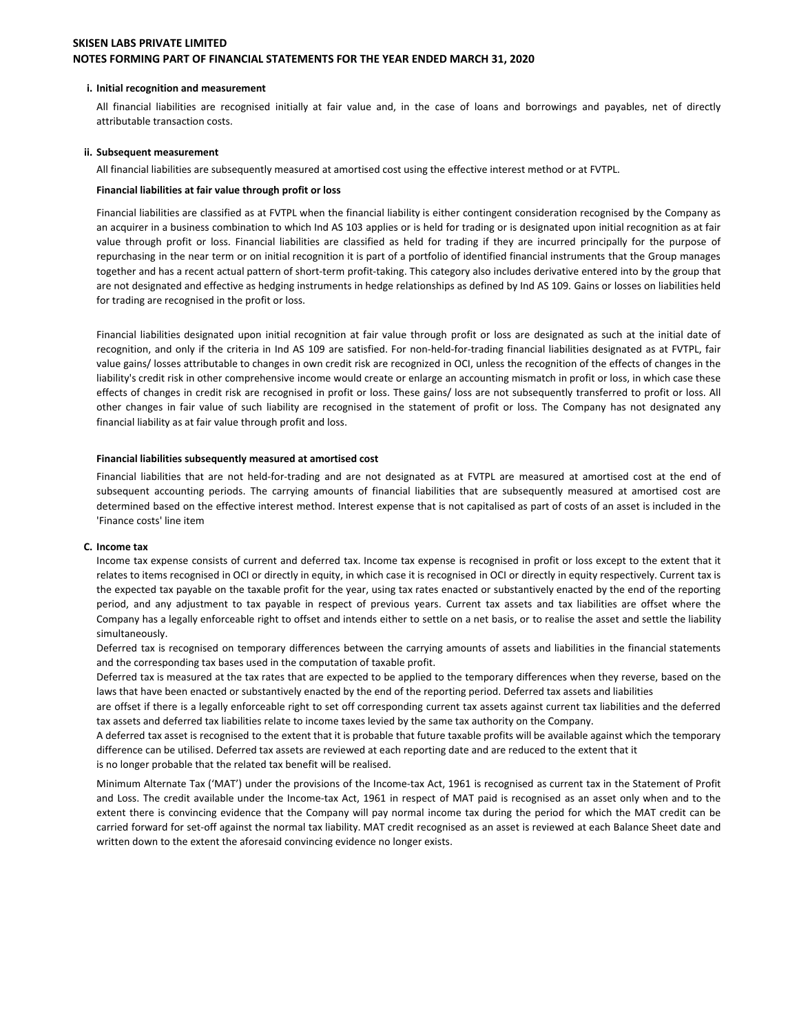#### i. Initial recognition and measurement

All financial liabilities are recognised initially at fair value and, in the case of loans and borrowings and payables, net of directly attributable transaction costs.

#### ii. Subsequent measurement

All financial liabilities are subsequently measured at amortised cost using the effective interest method or at FVTPL.

### Financial liabilities at fair value through profit or loss

Financial liabilities are classified as at FVTPL when the financial liability is either contingent consideration recognised by the Company as an acquirer in a business combination to which Ind AS 103 applies or is held for trading or is designated upon initial recognition as at fair value through profit or loss. Financial liabilities are classified as held for trading if they are incurred principally for the purpose of repurchasing in the near term or on initial recognition it is part of a portfolio of identified financial instruments that the Group manages together and has a recent actual pattern of short-term profit-taking. This category also includes derivative entered into by the group that are not designated and effective as hedging instruments in hedge relationships as defined by Ind AS 109. Gains or losses on liabilities held for trading are recognised in the profit or loss.

Financial liabilities designated upon initial recognition at fair value through profit or loss are designated as such at the initial date of recognition, and only if the criteria in Ind AS 109 are satisfied. For non-held-for-trading financial liabilities designated as at FVTPL, fair value gains/ losses attributable to changes in own credit risk are recognized in OCI, unless the recognition of the effects of changes in the liability's credit risk in other comprehensive income would create or enlarge an accounting mismatch in profit or loss, in which case these effects of changes in credit risk are recognised in profit or loss. These gains/loss are not subsequently transferred to profit or loss. All other changes in fair value of such liability are recognised in the statement of profit or loss. The Company has not designated any financial liability as at fair value through profit and loss.

#### Financial liabilities subsequently measured at amortised cost

Financial liabilities that are not held-for-trading and are not designated as at FVTPL are measured at amortised cost at the end of subsequent accounting periods. The carrying amounts of financial liabilities that are subsequently measured at amortised cost are determined based on the effective interest method. Interest expense that is not capitalised as part of costs of an asset is included in the 'Finance costs' line item

#### C. Income tax

Income tax expense consists of current and deferred tax. Income tax expense is recognised in profit or loss except to the extent that it relates to items recognised in OCI or directly in equity, in which case it is recognised in OCI or directly in equity respectively. Current tax is the expected tax payable on the taxable profit for the year, using tax rates enacted or substantively enacted by the end of the reporting period, and any adjustment to tax payable in respect of previous years. Current tax assets and tax liabilities are offset where the Company has a legally enforceable right to offset and intends either to settle on a net basis, or to realise the asset and settle the liability simultaneously.

Deferred tax is recognised on temporary differences between the carrying amounts of assets and liabilities in the financial statements and the corresponding tax bases used in the computation of taxable profit.

Deferred tax is measured at the tax rates that are expected to be applied to the temporary differences when they reverse, based on the laws that have been enacted or substantively enacted by the end of the reporting period. Deferred tax assets and liabilities

are offset if there is a legally enforceable right to set off corresponding current tax assets against current tax liabilities and the deferred tax assets and deferred tax liabilities relate to income taxes levied by the same tax authority on the Company.

A deferred tax asset is recognised to the extent that it is probable that future taxable profits will be available against which the temporary difference can be utilised. Deferred tax assets are reviewed at each reporting date and are reduced to the extent that it is no longer probable that the related tax benefit will be realised.

Minimum Alternate Tax ('MAT') under the provisions of the Income-tax Act, 1961 is recognised as current tax in the Statement of Profit and Loss. The credit available under the Income-tax Act, 1961 in respect of MAT paid is recognised as an asset only when and to the extent there is convincing evidence that the Company will pay normal income tax during the period for which the MAT credit can be carried forward for set-off against the normal tax liability. MAT credit recognised as an asset is reviewed at each Balance Sheet date and written down to the extent the aforesaid convincing evidence no longer exists.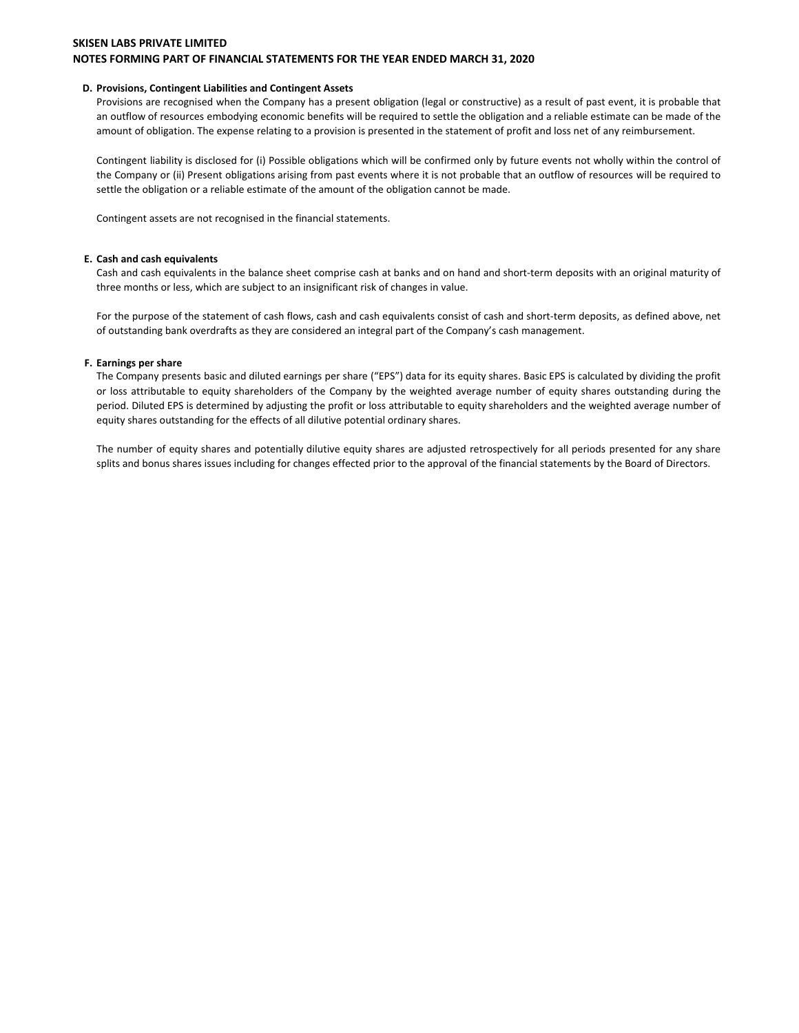# **SKISEN LABS PRIVATE LIMITED**

# NOTES FORMING PART OF FINANCIAL STATEMENTS FOR THE YEAR ENDED MARCH 31, 2020

### D. Provisions, Contingent Liabilities and Contingent Assets

Provisions are recognised when the Company has a present obligation (legal or constructive) as a result of past event, it is probable that an outflow of resources embodying economic benefits will be required to settle the obligation and a reliable estimate can be made of the amount of obligation. The expense relating to a provision is presented in the statement of profit and loss net of any reimbursement.

Contingent liability is disclosed for (i) Possible obligations which will be confirmed only by future events not wholly within the control of the Company or (ii) Present obligations arising from past events where it is not probable that an outflow of resources will be required to settle the obligation or a reliable estimate of the amount of the obligation cannot be made.

Contingent assets are not recognised in the financial statements.

### E. Cash and cash equivalents

Cash and cash equivalents in the balance sheet comprise cash at banks and on hand and short-term deposits with an original maturity of three months or less, which are subject to an insignificant risk of changes in value.

For the purpose of the statement of cash flows, cash and cash equivalents consist of cash and short-term deposits, as defined above, net of outstanding bank overdrafts as they are considered an integral part of the Company's cash management.

### F. Earnings per share

The Company presents basic and diluted earnings per share ("EPS") data for its equity shares. Basic EPS is calculated by dividing the profit or loss attributable to equity shareholders of the Company by the weighted average number of equity shares outstanding during the period. Diluted EPS is determined by adjusting the profit or loss attributable to equity shareholders and the weighted average number of equity shares outstanding for the effects of all dilutive potential ordinary shares.

The number of equity shares and potentially dilutive equity shares are adjusted retrospectively for all periods presented for any share splits and bonus shares issues including for changes effected prior to the approval of the financial statements by the Board of Directors.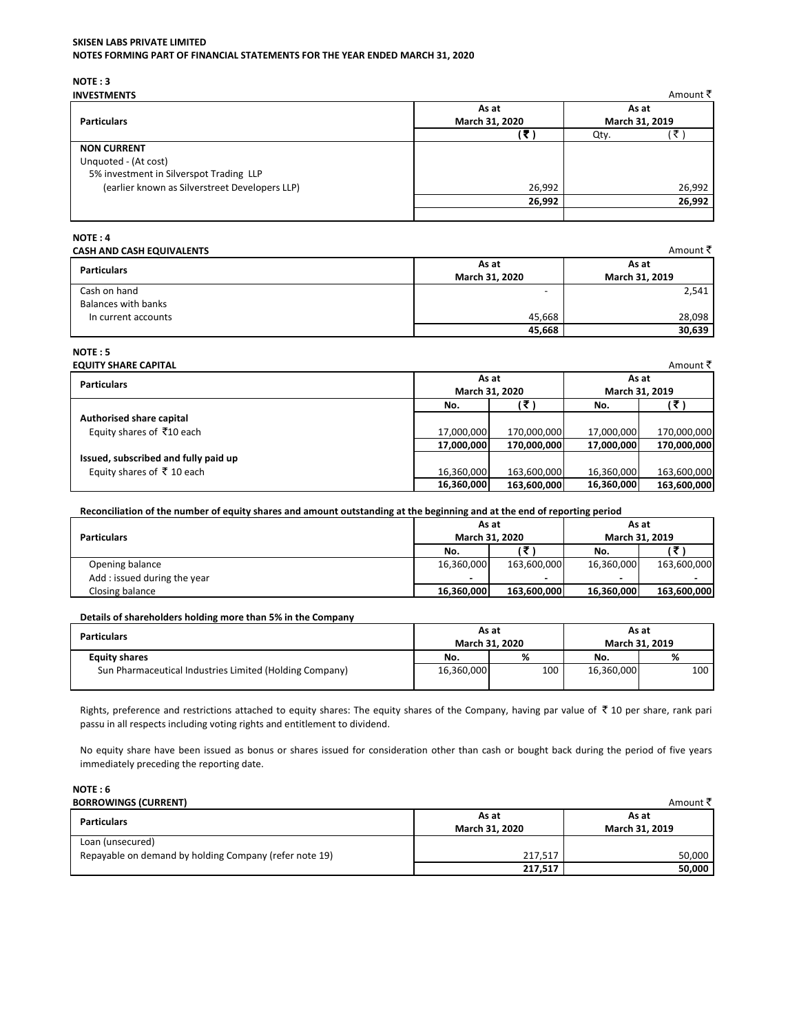# **SKISEN LABS PRIVATE LIMITED**

NOTES FORMING PART OF FINANCIAL STATEMENTS FOR THE YEAR ENDED MARCH 31, 2020

NOTE: 3

| <b>INVESTMENTS</b>                             |                | Amount ₹       |
|------------------------------------------------|----------------|----------------|
|                                                | As at          | As at          |
| <b>Particulars</b>                             | March 31, 2020 | March 31, 2019 |
|                                                | 17             | Qty.           |
| <b>NON CURRENT</b>                             |                |                |
| Unquoted - (At cost)                           |                |                |
| 5% investment in Silverspot Trading LLP        |                |                |
| (earlier known as Silverstreet Developers LLP) | 26,992         | 26,992         |
|                                                | 26,992         | 26,992         |
|                                                |                |                |

# NOTE: 4

| CASH AND CASH EQUIVALENTS |                | Amount ₹       |
|---------------------------|----------------|----------------|
| <b>Particulars</b>        | As at          | As at          |
|                           | March 31, 2020 | March 31, 2019 |
| Cash on hand              |                | 2,541          |
| Balances with banks       |                |                |
| In current accounts       | 45.668         | 28,098         |
|                           | 45,668         | 30,639         |

# NOTE: 5

| <b>EQUITY SHARE CAPITAL</b>          |                |             |                | Amount <b>र</b> |  |
|--------------------------------------|----------------|-------------|----------------|-----------------|--|
| <b>Particulars</b>                   |                | As at       |                | As at           |  |
|                                      | March 31, 2020 |             | March 31, 2019 |                 |  |
|                                      | No.            | 15          | No.            | E               |  |
| Authorised share capital             |                |             |                |                 |  |
| Equity shares of ₹10 each            | 17,000,000     | 170,000,000 | 17,000,000     | 170,000,000     |  |
|                                      | 17,000,000     | 170,000,000 | 17,000,000     | 170,000,000     |  |
| Issued, subscribed and fully paid up |                |             |                |                 |  |
| Equity shares of ₹10 each            | 16,360,000     | 163,600,000 | 16,360,000     | 163,600,000     |  |
|                                      | 16,360,000     | 163,600,000 | 16,360,000     | 163,600,000     |  |

Reconciliation of the number of equity shares and amount outstanding at the beginning and at the end of reporting period

|                             | As at                    |             | As at          |                          |
|-----------------------------|--------------------------|-------------|----------------|--------------------------|
| <b>Particulars</b>          | March 31, 2020           |             | March 31, 2019 |                          |
|                             | No.                      |             | No.            |                          |
| Opening balance             | 16,360,000               | 163,600,000 | 16,360,000     | 163,600,000              |
| Add: issued during the year | $\overline{\phantom{a}}$ | -           |                | $\overline{\phantom{a}}$ |
| Closing balance             | 16,360,000               | 163.600.000 | 16,360,000     | 163,600,000              |

# Details of shareholders holding more than 5% in the Company

| <b>Particulars</b>                                      | As at      | March 31, 2020 | As at      | March 31, 2019 |
|---------------------------------------------------------|------------|----------------|------------|----------------|
| <b>Equity shares</b>                                    | No.        | %              | No.        | %              |
| Sun Pharmaceutical Industries Limited (Holding Company) | 16,360,000 | 100            | 16,360,000 | 100            |

Rights, preference and restrictions attached to equity shares: The equity shares of the Company, having par value of  $\bar{\tau}$  10 per share, rank pari passu in all respects including voting rights and entitlement to dividend.

No equity share have been issued as bonus or shares issued for consideration other than cash or bought back during the period of five years immediately preceding the reporting date.

### $NOTE:6$ **ROPPOWINGS (CUPPENT)**

| <b>BORROWINGS (CURRENT)</b>                            |                | Amount ₹ै      |  |
|--------------------------------------------------------|----------------|----------------|--|
| Particulars                                            | As at          | As at          |  |
|                                                        | March 31, 2020 | March 31, 2019 |  |
| Loan (unsecured)                                       |                |                |  |
| Repayable on demand by holding Company (refer note 19) | 217.517        | 50.000         |  |
|                                                        | 217,517        | 50.000         |  |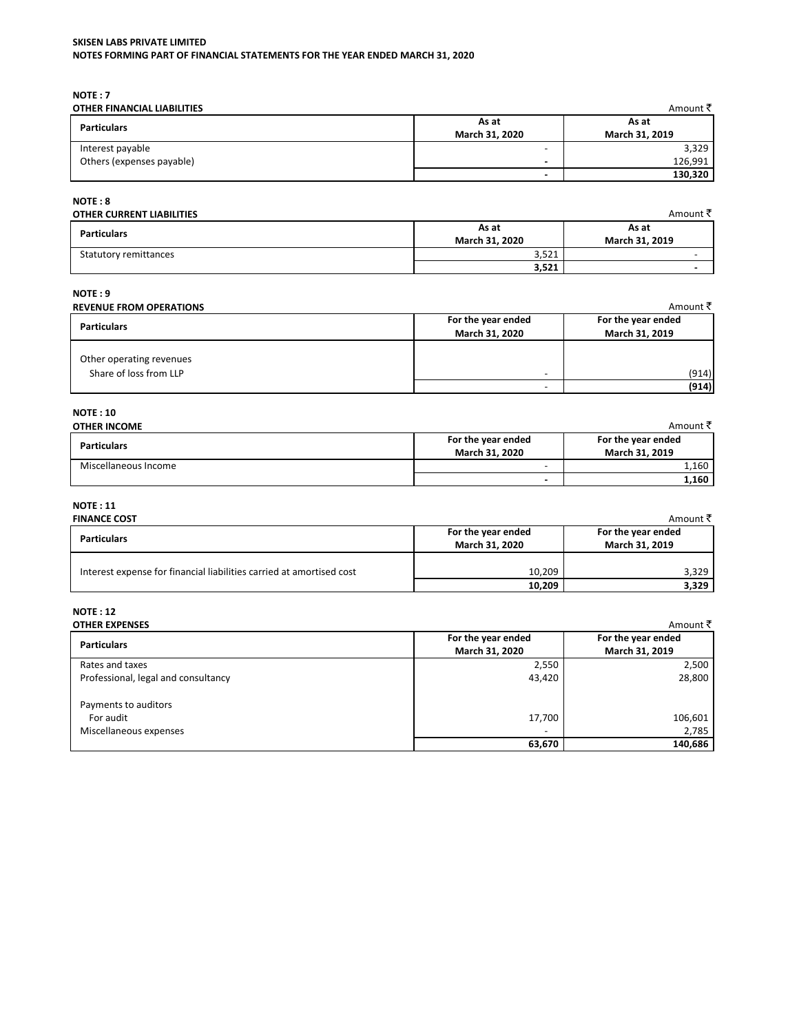# SKISEN LABS PRIVATE LIMITED

NOTES FORMING PART OF FINANCIAL STATEMENTS FOR THE YEAR ENDED MARCH 31, 2020

NOTE: 7

| <b>OTHER FINANCIAL LIABILITIES</b> |                         | Amount ₹ै               |
|------------------------------------|-------------------------|-------------------------|
| <b>Particulars</b>                 | As at<br>March 31, 2020 | As at<br>March 31, 2019 |
| Interest payable                   | -                       | 3,329                   |
| Others (expenses payable)          |                         | 126,991                 |
|                                    | -                       | 130,320                 |

 $NOTE: 8$ 

# **OTHER CURRENT LIABILITIES**

| <b>Particulars</b>    | As at<br>March 31, 2020 | As at<br>March 31, 2019  |
|-----------------------|-------------------------|--------------------------|
| Statutory remittances | 2.534<br>⊥ ے ر ر ر      | $\overline{\phantom{0}}$ |
|                       | 3,521                   | $\overline{\phantom{a}}$ |

Amount  $\overline{\tau}$ 

# $NOTE: 9$

# **REVENUE FROM OPERATIONS**

| <b>REVENUE FROM OPERATIONS</b>                     |                                                      | Amount ₹ै                            |
|----------------------------------------------------|------------------------------------------------------|--------------------------------------|
| <b>Particulars</b>                                 | For the year ended<br>March 31, 2020                 | For the year ended<br>March 31, 2019 |
| Other operating revenues<br>Share of loss from LLP | $\overline{\phantom{0}}$<br>$\overline{\phantom{0}}$ | (914)<br>(914)                       |

# **NOTE: 10**

| <b>OTHER INCOME</b>  |                          | Amount ₹           |  |
|----------------------|--------------------------|--------------------|--|
|                      | For the year ended       | For the year ended |  |
| <b>Particulars</b>   | March 31, 2020           | March 31, 2019     |  |
| Miscellaneous Income | -                        | 1,160              |  |
|                      | $\overline{\phantom{0}}$ | 1,160              |  |

# $\texttt{NOTE}: \texttt{11}$

| <b>FINANCE COST</b>                                                  |                                      | Amount ₹ै                            |
|----------------------------------------------------------------------|--------------------------------------|--------------------------------------|
| <b>Particulars</b>                                                   | For the year ended<br>March 31, 2020 | For the year ended<br>March 31, 2019 |
| Interest expense for financial liabilities carried at amortised cost | 10,209                               | 3.329                                |
|                                                                      | 10,209                               | 3,329                                |

#### **NOTE: 12** OTHER EXPENSES

| <b>OTHER EXPENSES</b>               |                          | Amount ₹           |
|-------------------------------------|--------------------------|--------------------|
| <b>Particulars</b>                  | For the year ended       | For the year ended |
|                                     | March 31, 2020           | March 31, 2019     |
| Rates and taxes                     | 2,550                    | 2,500              |
| Professional, legal and consultancy | 43,420                   | 28,800             |
| Payments to auditors                |                          |                    |
| For audit                           | 17,700                   | 106,601            |
| Miscellaneous expenses              | $\overline{\phantom{a}}$ | 2,785              |
|                                     | 63,670                   | 140,686            |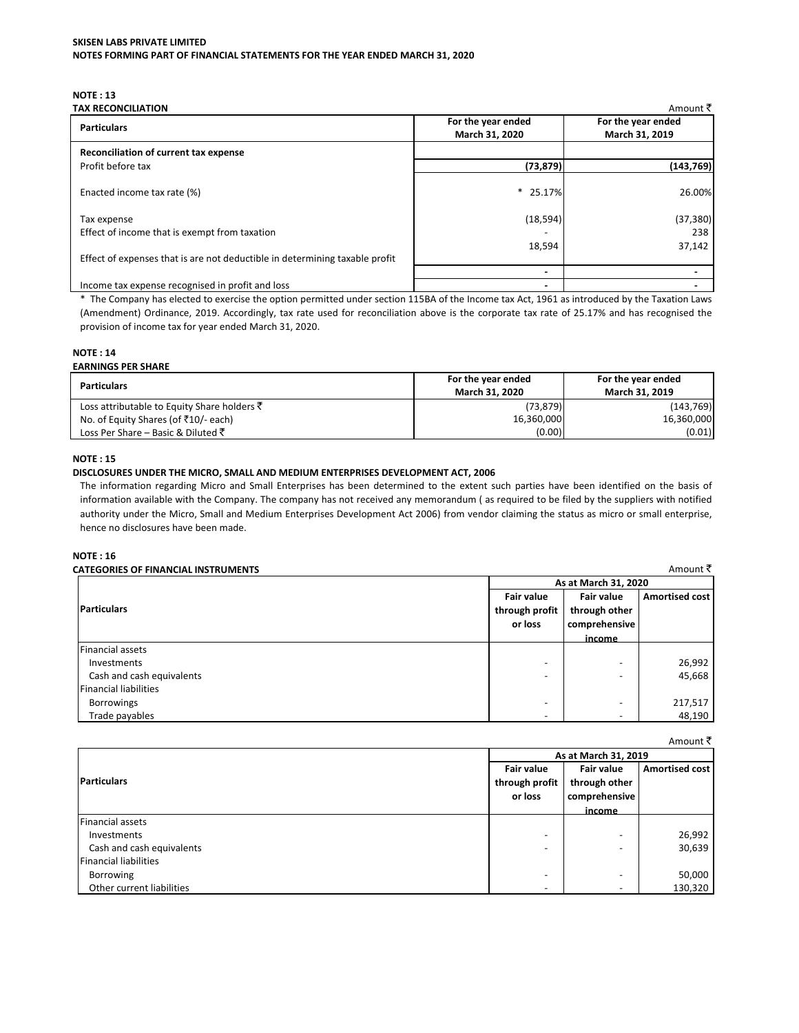# **NOTE: 13**

| TAX RECONCILIATION                                                          |                    | Amount ₹           |  |
|-----------------------------------------------------------------------------|--------------------|--------------------|--|
| <b>Particulars</b>                                                          | For the year ended | For the year ended |  |
|                                                                             | March 31, 2020     | March 31, 2019     |  |
| Reconciliation of current tax expense                                       |                    |                    |  |
| Profit before tax                                                           | (73, 879)          | (143, 769)         |  |
| Enacted income tax rate (%)                                                 | $*$ 25.17%         | 26.00%             |  |
| Tax expense                                                                 | (18, 594)          | (37, 380)          |  |
| Effect of income that is exempt from taxation                               |                    | 238                |  |
|                                                                             | 18,594             | 37,142             |  |
| Effect of expenses that is are not deductible in determining taxable profit |                    |                    |  |
|                                                                             |                    |                    |  |
| Income tax expense recognised in profit and loss                            |                    |                    |  |

\* The Company has elected to exercise the option permitted under section 115BA of the Income tax Act, 1961 as introduced by the Taxation Laws (Amendment) Ordinance, 2019. Accordingly, tax rate used for reconciliation above is the corporate tax rate of 25.17% and has recognised the provision of income tax for year ended March 31, 2020.

# **NOTE: 14**

| <b>EARNINGS PER SHARE</b>                              |                    |                    |
|--------------------------------------------------------|--------------------|--------------------|
| Particulars                                            | For the year ended | For the year ended |
|                                                        | March 31, 2020     | March 31, 2019     |
| Loss attributable to Equity Share holders $\bar{\tau}$ | (73, 879)          | (143, 769)         |
| No. of Equity Shares (of ₹10/- each)                   | 16,360,000         | 16,360,000         |
| Loss Per Share – Basic & Diluted ₹                     | (0.00)             | (0.01)             |

# **NOTE: 15**

# DISCLOSURES UNDER THE MICRO, SMALL AND MEDIUM ENTERPRISES DEVELOPMENT ACT, 2006

The information regarding Micro and Small Enterprises has been determined to the extent such parties have been identified on the basis of information available with the Company. The company has not received any memorandum (as required to be filed by the suppliers with notified authority under the Micro, Small and Medium Enterprises Development Act 2006) from vendor claiming the status as micro or small enterprise, hence no disclosures have been made.

# **NOTE: 16**

| <b>CATEGORIES OF FINANCIAL INSTRUMENTS</b> |                                                |                                                     | Amount ₹              |
|--------------------------------------------|------------------------------------------------|-----------------------------------------------------|-----------------------|
|                                            |                                                | As at March 31, 2020                                |                       |
| <b>Particulars</b>                         | <b>Fair value</b><br>through profit<br>or loss | <b>Fair value</b><br>through other<br>comprehensive | <b>Amortised cost</b> |
|                                            |                                                | income                                              |                       |
| <b>Financial assets</b>                    |                                                |                                                     |                       |
| Investments                                | -                                              |                                                     | 26,992                |
| Cash and cash equivalents                  | -                                              | -                                                   | 45,668                |
| <b>Financial liabilities</b>               |                                                |                                                     |                       |
| <b>Borrowings</b>                          | -                                              |                                                     | 217,517               |
| Trade payables                             |                                                | $\overline{\phantom{a}}$                            | 48,190                |

|                              |                      |                          | Amount <b>K</b>       |
|------------------------------|----------------------|--------------------------|-----------------------|
|                              | As at March 31, 2019 |                          |                       |
|                              | <b>Fair value</b>    | <b>Fair value</b>        | <b>Amortised cost</b> |
| <b>Particulars</b>           | through profit       | through other            |                       |
|                              | or loss              | comprehensive            |                       |
|                              |                      | income                   |                       |
| <b>Financial assets</b>      |                      |                          |                       |
| Investments                  | -                    | -                        | 26,992                |
| Cash and cash equivalents    |                      | -                        | 30,639                |
| <b>Financial liabilities</b> |                      |                          |                       |
| Borrowing                    | -                    | -                        | 50,000                |
| Other current liabilities    |                      | $\overline{\phantom{a}}$ | 130,320               |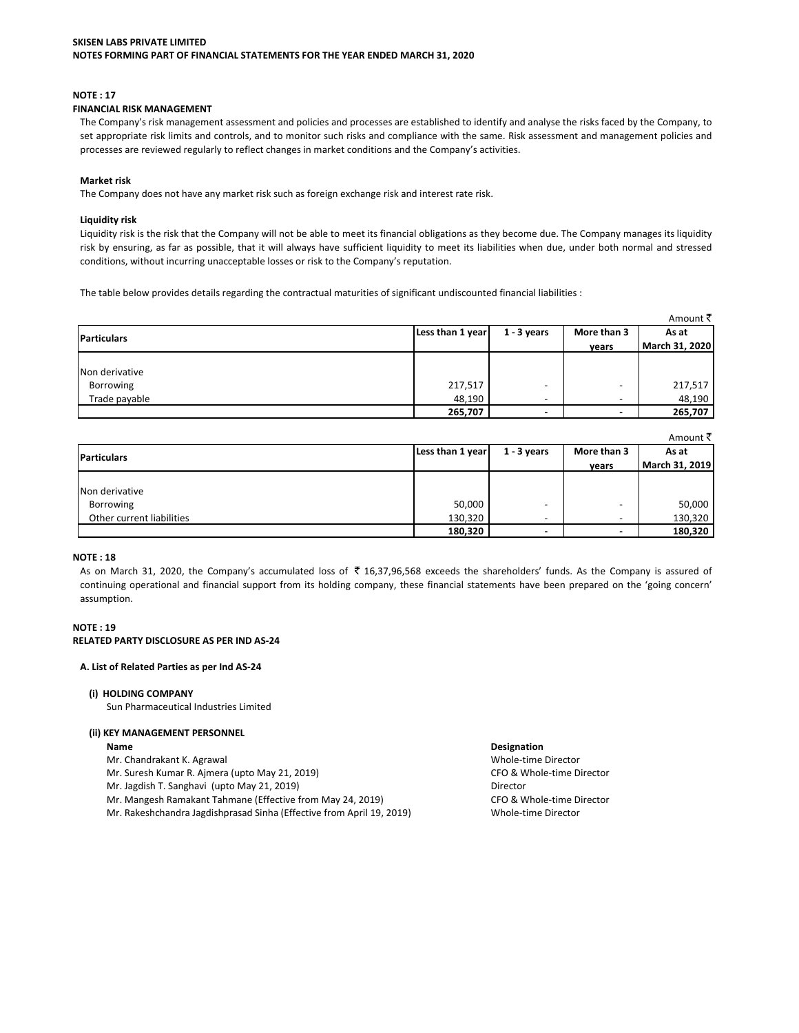### **NOTE: 17**

### FINANCIAL RISK MANAGEMENT

The Company's risk management assessment and policies and processes are established to identify and analyse the risks faced by the Company, to set appropriate risk limits and controls, and to monitor such risks and compliance with the same. Risk assessment and management policies and processes are reviewed regularly to reflect changes in market conditions and the Company's activities.

### **Market risk**

The Company does not have any market risk such as foreign exchange risk and interest rate risk.

### **Liquidity risk**

Liquidity risk is the risk that the Company will not be able to meet its financial obligations as they become due. The Company manages its liquidity risk by ensuring, as far as possible, that it will always have sufficient liquidity to meet its liabilities when due, under both normal and stressed conditions, without incurring unacceptable losses or risk to the Company's reputation.

The table below provides details regarding the contractual maturities of significant undiscounted financial liabilities :

|                    |                  |                          |                          | Amount ₹       |
|--------------------|------------------|--------------------------|--------------------------|----------------|
| <b>Particulars</b> | Less than 1 year | $1 - 3$ years            | More than 3              | As at          |
|                    |                  |                          | vears                    | March 31, 2020 |
|                    |                  |                          |                          |                |
| Non derivative     |                  |                          |                          |                |
| Borrowing          | 217,517          |                          |                          | 217,517        |
| Trade payable      | 48,190           | $\overline{\phantom{0}}$ | $\overline{\phantom{0}}$ | 48,190         |
|                    | 265,707          |                          | $\blacksquare$           | 265,707        |

|                           |                  |               |                          | Amount ₹ै      |
|---------------------------|------------------|---------------|--------------------------|----------------|
| <b>Particulars</b>        | Less than 1 year | $1 - 3$ years | More than 3              | As at          |
|                           |                  |               | years                    | March 31, 2019 |
|                           |                  |               |                          |                |
| Non derivative            |                  |               |                          |                |
| Borrowing                 | 50,000           | -             | $\overline{\phantom{0}}$ | 50,000         |
| Other current liabilities | 130,320          | -             | $\overline{\phantom{0}}$ | 130,320        |
|                           | 180,320          |               | $\blacksquare$           | 180,320        |

### **NOTE: 18**

As on March 31, 2020, the Company's accumulated loss of ₹ 16,37,96,568 exceeds the shareholders' funds. As the Company is assured of continuing operational and financial support from its holding company, these financial statements have been prepared on the 'going concern' assumption.

# **NOTE: 19** RELATED PARTY DISCLOSURE AS PER IND AS-24

#### A. List of Related Parties as per Ind AS-24

# (i) HOLDING COMPANY

Sun Pharmaceutical Industries Limited

# (ii) KEY MANAGEMENT PERSONNEL

- Name
- Mr. Chandrakant K. Agrawal
- Mr. Suresh Kumar R. Ajmera (upto May 21, 2019)
- Mr. Jagdish T. Sanghavi (upto May 21, 2019)
- Mr. Mangesh Ramakant Tahmane (Effective from May 24, 2019)
- Mr. Rakeshchandra Jagdishprasad Sinha (Effective from April 19, 2019)

### Designation

Whole-time Director CFO & Whole-time Director Director CFO & Whole-time Director Whole-time Director